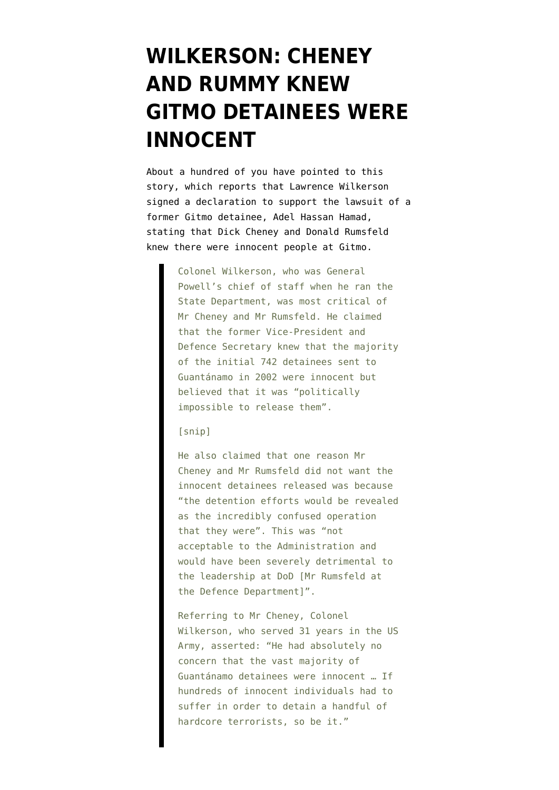## **[WILKERSON: CHENEY](https://www.emptywheel.net/2010/04/09/wilkerson-cheney-and-rummy-knew-gitmo-detainees-were-innocent/) [AND RUMMY KNEW](https://www.emptywheel.net/2010/04/09/wilkerson-cheney-and-rummy-knew-gitmo-detainees-were-innocent/) [GITMO DETAINEES WERE](https://www.emptywheel.net/2010/04/09/wilkerson-cheney-and-rummy-knew-gitmo-detainees-were-innocent/) [INNOCENT](https://www.emptywheel.net/2010/04/09/wilkerson-cheney-and-rummy-knew-gitmo-detainees-were-innocent/)**

About a hundred of you have pointed to [this](http://www.timesonline.co.uk/tol/news/world/us_and_americas/article7092435.ece) [story](http://www.timesonline.co.uk/tol/news/world/us_and_americas/article7092435.ece), which reports that Lawrence Wilkerson signed a declaration to support the lawsuit of a former Gitmo detainee, Adel Hassan Hamad, stating that Dick Cheney and Donald Rumsfeld knew there were innocent people at Gitmo.

> Colonel Wilkerson, who was General Powell's chief of staff when he ran the State Department, was most critical of Mr Cheney and Mr Rumsfeld. He claimed that the former Vice-President and Defence Secretary knew that the majority of the initial 742 detainees sent to Guantánamo in 2002 were innocent but believed that it was "politically impossible to release them".

## [snip]

He also claimed that one reason Mr Cheney and Mr Rumsfeld did not want the innocent detainees released was because "the detention efforts would be revealed as the incredibly confused operation that they were". This was "not acceptable to the Administration and would have been severely detrimental to the leadership at DoD [Mr Rumsfeld at the Defence Department]".

Referring to Mr Cheney, Colonel Wilkerson, who served 31 years in the US Army, asserted: "He had absolutely no concern that the vast majority of Guantánamo detainees were innocent … If hundreds of innocent individuals had to suffer in order to detain a handful of hardcore terrorists, so be it."